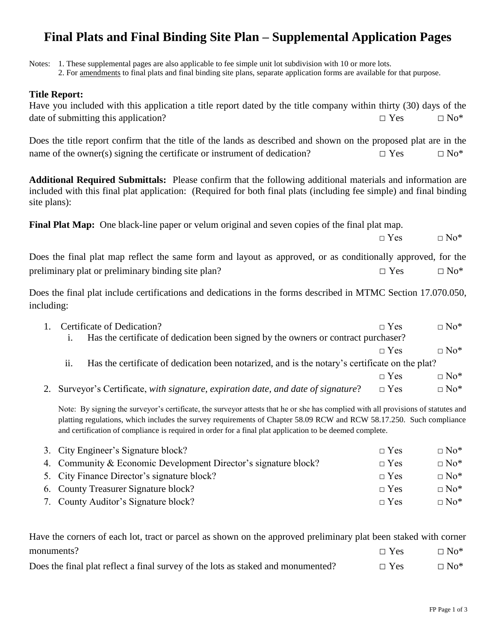## **Final Plats and Final Binding Site Plan – Supplemental Application Pages**

Notes: 1. These supplemental pages are also applicable to fee simple unit lot subdivision with 10 or more lots.

2. For amendments to final plats and final binding site plans, separate application forms are available for that purpose.

## **Title Report:**

| THE REPOLE:<br>Have you included with this application a title report dated by the title company within thirty (30) days of the<br>date of submitting this application?                                                                                                                                                                                               | $\square$ Yes | $\square$ No*          |  |  |
|-----------------------------------------------------------------------------------------------------------------------------------------------------------------------------------------------------------------------------------------------------------------------------------------------------------------------------------------------------------------------|---------------|------------------------|--|--|
| Does the title report confirm that the title of the lands as described and shown on the proposed plat are in the<br>name of the owner(s) signing the certificate or instrument of dedication?                                                                                                                                                                         | $\square$ Yes | $\Box$ No*             |  |  |
| Additional Required Submittals: Please confirm that the following additional materials and information are<br>included with this final plat application: (Required for both final plats (including fee simple) and final binding<br>site plans):                                                                                                                      |               |                        |  |  |
| Final Plat Map: One black-line paper or velum original and seven copies of the final plat map.                                                                                                                                                                                                                                                                        | $\Box$ Yes    | $\Box$ No <sup>*</sup> |  |  |
| Does the final plat map reflect the same form and layout as approved, or as conditionally approved, for the                                                                                                                                                                                                                                                           |               |                        |  |  |
| preliminary plat or preliminary binding site plan?                                                                                                                                                                                                                                                                                                                    | $\Box$ Yes    | $\square$ No*          |  |  |
| Does the final plat include certifications and dedications in the forms described in MTMC Section 17.070.050,<br>including:                                                                                                                                                                                                                                           |               |                        |  |  |
| Certificate of Dedication?<br>1.                                                                                                                                                                                                                                                                                                                                      | $\Box$ Yes    | $\Box$ No*             |  |  |
| Has the certificate of dedication been signed by the owners or contract purchaser?<br>i.                                                                                                                                                                                                                                                                              |               |                        |  |  |
|                                                                                                                                                                                                                                                                                                                                                                       | $\Box$ Yes    | $\square$ No*          |  |  |
| ii.<br>Has the certificate of dedication been notarized, and is the notary's certificate on the plat?                                                                                                                                                                                                                                                                 |               |                        |  |  |
|                                                                                                                                                                                                                                                                                                                                                                       | $\Box$ Yes    | $\Box$ No*             |  |  |
| Surveyor's Certificate, with signature, expiration date, and date of signature?<br>2.                                                                                                                                                                                                                                                                                 | $\Box$ Yes    | $\Box$ No*             |  |  |
| Note: By signing the surveyor's certificate, the surveyor attests that he or she has complied with all provisions of statutes and<br>platting regulations, which includes the survey requirements of Chapter 58.09 RCW and RCW 58.17.250. Such compliance<br>and certification of compliance is required in order for a final plat application to be deemed complete. |               |                        |  |  |

| 3. City Engineer's Signature block?                             | $\Box$ Yes | $\Box$ No <sup>*</sup> |
|-----------------------------------------------------------------|------------|------------------------|
| 4. Community & Economic Development Director's signature block? | $\Box$ Yes | $\Box$ No <sup>*</sup> |
| 5. City Finance Director's signature block?                     | $\Box$ Yes | $\Box$ No <sup>*</sup> |
| 6. County Treasurer Signature block?                            | $\Box$ Yes | $\Box$ No <sup>*</sup> |
| 7. County Auditor's Signature block?                            | $\Box$ Yes | $\Box$ No <sup>*</sup> |

Have the corners of each lot, tract or parcel as shown on the approved preliminary plat been staked with corner monuments?  $\Box$  Yes  $\Box$  No\*

Does the final plat reflect a final survey of the lots as staked and monumented?  $\Box$  Yes  $\Box$  No\*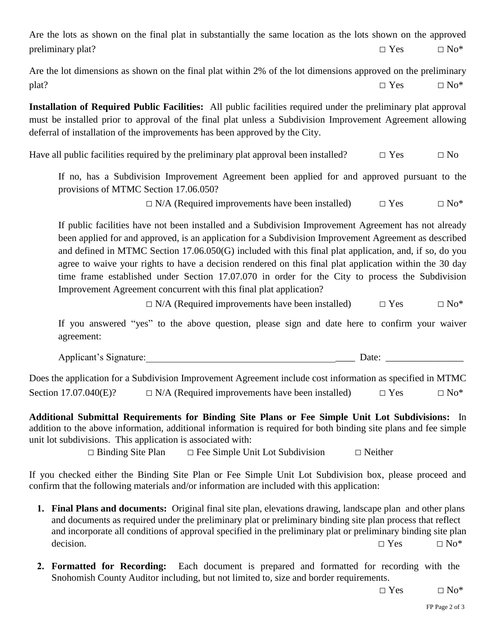Are the lots as shown on the final plat in substantially the same location as the lots shown on the approved preliminary plat?  $\Box$  Yes  $\Box$  No\*

Are the lot dimensions as shown on the final plat within 2% of the lot dimensions approved on the preliminary plat?  $\square$  Yes  $\square$  No\*

**Installation of Required Public Facilities:** All public facilities required under the preliminary plat approval must be installed prior to approval of the final plat unless a Subdivision Improvement Agreement allowing deferral of installation of the improvements has been approved by the City.

Have all public facilities required by the preliminary plat approval been installed?  $\Box$  Yes  $\Box$  No

If no, has a Subdivision Improvement Agreement been applied for and approved pursuant to the provisions of MTMC Section 17.06.050?

 $\Box$  N/A (Required improvements have been installed)  $\Box$  Yes  $\Box$  No\*

If public facilities have not been installed and a Subdivision Improvement Agreement has not already been applied for and approved, is an application for a Subdivision Improvement Agreement as described and defined in MTMC Section 17.06.050(G) included with this final plat application, and, if so, do you agree to waive your rights to have a decision rendered on this final plat application within the 30 day time frame established under Section 17.07.070 in order for the City to process the Subdivision Improvement Agreement concurrent with this final plat application?

 $\Box$  N/A (Required improvements have been installed)  $\Box$  Yes  $\Box$  No\*

If you answered "yes" to the above question, please sign and date here to confirm your waiver agreement:

Applicant's Signature: The Contraction of the Contraction of the Contraction of the Contraction of the Contraction of the Contraction of the Contraction of the Contraction of the Contraction of the Contraction of the Contr

Does the application for a Subdivision Improvement Agreement include cost information as specified in MTMC Section 17.07.040(E)?  $\square$  N/A (Required improvements have been installed)  $\square$  Yes  $\square$  No\*

**Additional Submittal Requirements for Binding Site Plans or Fee Simple Unit Lot Subdivisions:** In addition to the above information, additional information is required for both binding site plans and fee simple unit lot subdivisions. This application is associated with:

 $\Box$  Binding Site Plan  $\Box$  Fee Simple Unit Lot Subdivision  $\Box$  Neither

If you checked either the Binding Site Plan or Fee Simple Unit Lot Subdivision box, please proceed and confirm that the following materials and/or information are included with this application:

- **1. Final Plans and documents:** Original final site plan, elevations drawing, landscape plan and other plans and documents as required under the preliminary plat or preliminary binding site plan process that reflect and incorporate all conditions of approval specified in the preliminary plat or preliminary binding site plan decision.  $\square$  Yes  $\square$  No\*
- **2. Formatted for Recording:** Each document is prepared and formatted for recording with the Snohomish County Auditor including, but not limited to, size and border requirements.

 $\Box$  Yes  $\Box$  No<sup>\*</sup>